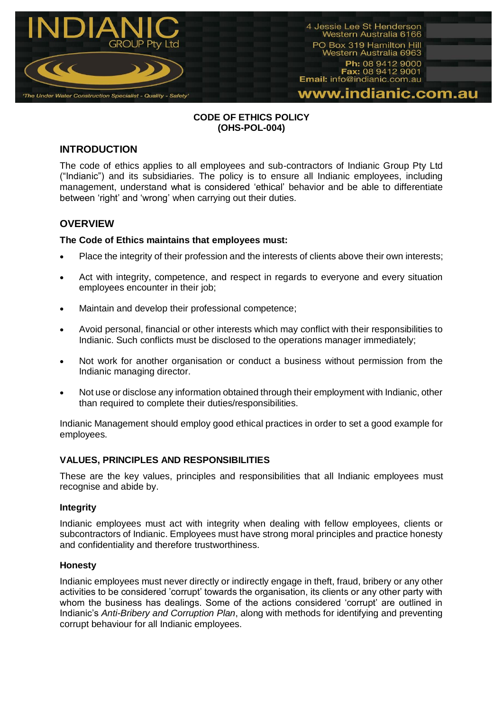

## **CODE OF ETHICS POLICY (OHS-POL-004)**

# **INTRODUCTION**

The code of ethics applies to all employees and sub-contractors of Indianic Group Pty Ltd ("Indianic") and its subsidiaries. The policy is to ensure all Indianic employees, including management, understand what is considered 'ethical' behavior and be able to differentiate between 'right' and 'wrong' when carrying out their duties.

# **OVERVIEW**

## **The Code of Ethics maintains that employees must:**

- Place the integrity of their profession and the interests of clients above their own interests;
- Act with integrity, competence, and respect in regards to everyone and every situation employees encounter in their job;
- Maintain and develop their professional competence;
- Avoid personal, financial or other interests which may conflict with their responsibilities to Indianic. Such conflicts must be disclosed to the operations manager immediately;
- Not work for another organisation or conduct a business without permission from the Indianic managing director.
- Not use or disclose any information obtained through their employment with Indianic, other than required to complete their duties/responsibilities.

Indianic Management should employ good ethical practices in order to set a good example for employees.

## **VALUES, PRINCIPLES AND RESPONSIBILITIES**

These are the key values, principles and responsibilities that all Indianic employees must recognise and abide by.

## **Integrity**

Indianic employees must act with integrity when dealing with fellow employees, clients or subcontractors of Indianic. Employees must have strong moral principles and practice honesty and confidentiality and therefore trustworthiness.

#### **Honesty**

Indianic employees must never directly or indirectly engage in theft, fraud, bribery or any other activities to be considered 'corrupt' towards the organisation, its clients or any other party with whom the business has dealings. Some of the actions considered 'corrupt' are outlined in Indianic's *Anti-Bribery and Corruption Plan*, along with methods for identifying and preventing corrupt behaviour for all Indianic employees.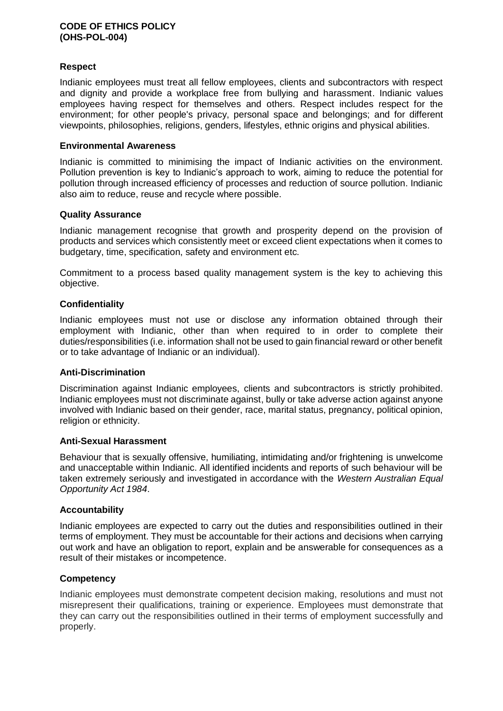#### **CODE OF ETHICS POLICY (OHS-POL-004)**

## **Respect**

Indianic employees must treat all fellow employees, clients and subcontractors with respect and dignity and provide a workplace free from bullying and harassment. Indianic values employees having respect for themselves and others. Respect includes respect for the environment; for other people's privacy, personal space and belongings; and for different viewpoints, philosophies, religions, genders, lifestyles, ethnic origins and physical abilities.

### **Environmental Awareness**

Indianic is committed to minimising the impact of Indianic activities on the environment. Pollution prevention is key to Indianic's approach to work, aiming to reduce the potential for pollution through increased efficiency of processes and reduction of source pollution. Indianic also aim to reduce, reuse and recycle where possible.

### **Quality Assurance**

Indianic management recognise that growth and prosperity depend on the provision of products and services which consistently meet or exceed client expectations when it comes to budgetary, time, specification, safety and environment etc.

Commitment to a process based quality management system is the key to achieving this objective.

## **Confidentiality**

Indianic employees must not use or disclose any information obtained through their employment with Indianic, other than when required to in order to complete their duties/responsibilities (i.e. information shall not be used to gain financial reward or other benefit or to take advantage of Indianic or an individual).

## **Anti-Discrimination**

Discrimination against Indianic employees, clients and subcontractors is strictly prohibited. Indianic employees must not discriminate against, bully or take adverse action against anyone involved with Indianic based on their gender, race, marital status, pregnancy, political opinion, religion or ethnicity.

## **Anti-Sexual Harassment**

Behaviour that is sexually offensive, humiliating, intimidating and/or frightening is unwelcome and unacceptable within Indianic. All identified incidents and reports of such behaviour will be taken extremely seriously and investigated in accordance with the *Western Australian Equal Opportunity Act 1984*.

## **Accountability**

Indianic employees are expected to carry out the duties and responsibilities outlined in their terms of employment. They must be accountable for their actions and decisions when carrying out work and have an obligation to report, explain and be answerable for consequences as a result of their mistakes or incompetence.

## **Competency**

Indianic employees must demonstrate competent decision making, resolutions and must not misrepresent their qualifications, training or experience. Employees must demonstrate that they can carry out the responsibilities outlined in their terms of employment successfully and properly.